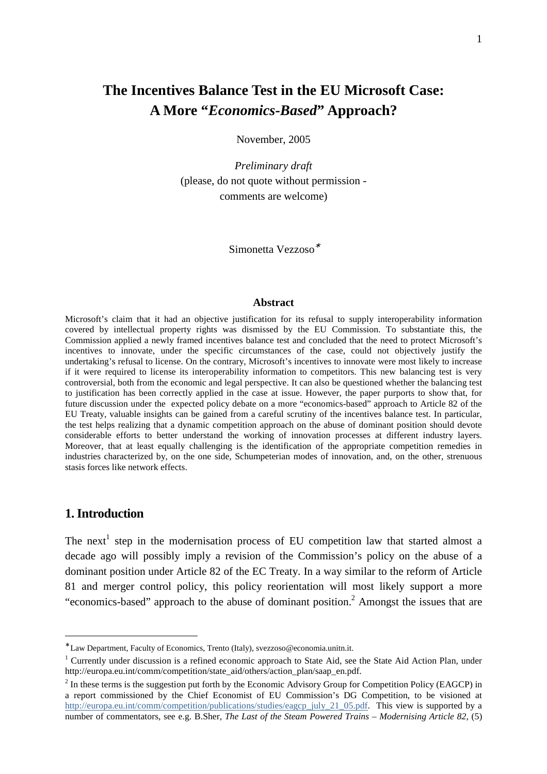# **The Incentives Balance Test in the EU Microsoft Case: A More "***Economics-Based***" Approach?**

November, 2005

*Preliminary draft* (please, do not quote without permission comments are welcome)

Simonetta Vezzoso<sup>∗</sup>

#### **Abstract**

Microsoft's claim that it had an objective justification for its refusal to supply interoperability information covered by intellectual property rights was dismissed by the EU Commission. To substantiate this, the Commission applied a newly framed incentives balance test and concluded that the need to protect Microsoft's incentives to innovate, under the specific circumstances of the case, could not objectively justify the undertaking's refusal to license. On the contrary, Microsoft's incentives to innovate were most likely to increase if it were required to license its interoperability information to competitors. This new balancing test is very controversial, both from the economic and legal perspective. It can also be questioned whether the balancing test to justification has been correctly applied in the case at issue. However, the paper purports to show that, for future discussion under the expected policy debate on a more "economics-based" approach to Article 82 of the EU Treaty, valuable insights can be gained from a careful scrutiny of the incentives balance test. In particular, the test helps realizing that a dynamic competition approach on the abuse of dominant position should devote considerable efforts to better understand the working of innovation processes at different industry layers. Moreover, that at least equally challenging is the identification of the appropriate competition remedies in industries characterized by, on the one side, Schumpeterian modes of innovation, and, on the other, strenuous stasis forces like network effects.

### **1. Introduction**

 $\overline{a}$ 

The next<sup>1</sup> step in the modernisation process of EU competition law that started almost a decade ago will possibly imply a revision of the Commission's policy on the abuse of a dominant position under Article 82 of the EC Treaty. In a way similar to the reform of Article 81 and merger control policy, this policy reorientation will most likely support a more "economics-based" approach to the abuse of dominant position.<sup>2</sup> Amongst the issues that are

<sup>∗</sup> Law Department, Faculty of Economics, Trento (Italy), svezzoso@economia.unitn.it.

<sup>&</sup>lt;sup>1</sup> Currently under discussion is a refined economic approach to State Aid, see the State Aid Action Plan, under http://europa.eu.int/comm/competition/state\_aid/others/action\_plan/saap\_en.pdf.

 $2<sup>2</sup>$  In these terms is the suggestion put forth by the Economic Advisory Group for Competition Policy (EAGCP) in a report commissioned by the Chief Economist of EU Commission's DG Competition, to be visioned at http://europa.eu.int/comm/competition/publications/studies/eagcp\_july\_21\_05.pdf. This view is supported by a number of commentators, see e.g. B.Sher, *The Last of the Steam Powered Trains – Modernising Article 82*, (5)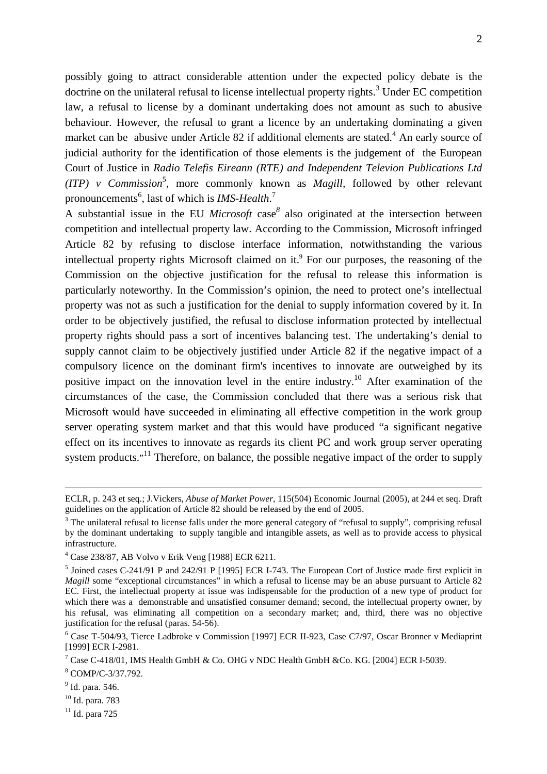possibly going to attract considerable attention under the expected policy debate is the doctrine on the unilateral refusal to license intellectual property rights.<sup>3</sup> Under EC competition law, a refusal to license by a dominant undertaking does not amount as such to abusive behaviour. However, the refusal to grant a licence by an undertaking dominating a given market can be abusive under Article 82 if additional elements are stated.<sup>4</sup> An early source of judicial authority for the identification of those elements is the judgement of the European Court of Justice in *Radio Telefis Eireann (RTE) and Independent Televion Publications Ltd*   $(TTP)$  v *Commission*<sup>5</sup>, more commonly known as *Magill*, followed by other relevant pronouncements<sup>6</sup>, last of which is *IMS-Health*.<sup>7</sup>

A substantial issue in the EU *Microsoft* case*<sup>8</sup>* also originated at the intersection between competition and intellectual property law. According to the Commission, Microsoft infringed Article 82 by refusing to disclose interface information, notwithstanding the various intellectual property rights Microsoft claimed on it.<sup>9</sup> For our purposes, the reasoning of the Commission on the objective justification for the refusal to release this information is particularly noteworthy. In the Commission's opinion, the need to protect one's intellectual property was not as such a justification for the denial to supply information covered by it. In order to be objectively justified, the refusal to disclose information protected by intellectual property rights should pass a sort of incentives balancing test. The undertaking's denial to supply cannot claim to be objectively justified under Article 82 if the negative impact of a compulsory licence on the dominant firm's incentives to innovate are outweighed by its positive impact on the innovation level in the entire industry.<sup>10</sup> After examination of the circumstances of the case, the Commission concluded that there was a serious risk that Microsoft would have succeeded in eliminating all effective competition in the work group server operating system market and that this would have produced "a significant negative effect on its incentives to innovate as regards its client PC and work group server operating system products."<sup>11</sup> Therefore, on balance, the possible negative impact of the order to supply

<u>.</u>

<sup>10</sup> Id. para. 783

 $11$  Id. para 725

ECLR, p. 243 et seq.; J.Vickers, *Abuse of Market Power*, 115(504) Economic Journal (2005), at 244 et seq. Draft guidelines on the application of Article 82 should be released by the end of 2005.

 $3$  The unilateral refusal to license falls under the more general category of "refusal to supply", comprising refusal by the dominant undertaking to supply tangible and intangible assets, as well as to provide access to physical infrastructure.

<sup>4</sup> Case 238/87, AB Volvo v Erik Veng [1988] ECR 6211.

<sup>&</sup>lt;sup>5</sup> Joined cases C-241/91 P and 242/91 P [1995] ECR I-743. The European Cort of Justice made first explicit in *Magill* some "exceptional circumstances" in which a refusal to license may be an abuse pursuant to Article 82 EC. First, the intellectual property at issue was indispensable for the production of a new type of product for which there was a demonstrable and unsatisfied consumer demand; second, the intellectual property owner, by his refusal, was eliminating all competition on a secondary market; and, third, there was no objective justification for the refusal (paras. 54-56).

<sup>&</sup>lt;sup>6</sup> Case T-504/93, Tierce Ladbroke v Commission [1997] ECR II-923, Case C7/97, Oscar Bronner v Mediaprint [1999] ECR I-2981.

<sup>&</sup>lt;sup>7</sup> Case C-418/01, IMS Health GmbH & Co. OHG v NDC Health GmbH & Co. KG. [2004] ECR I-5039.

<sup>8</sup> COMP/C-3/37.792.

<sup>&</sup>lt;sup>9</sup> Id. para. 546.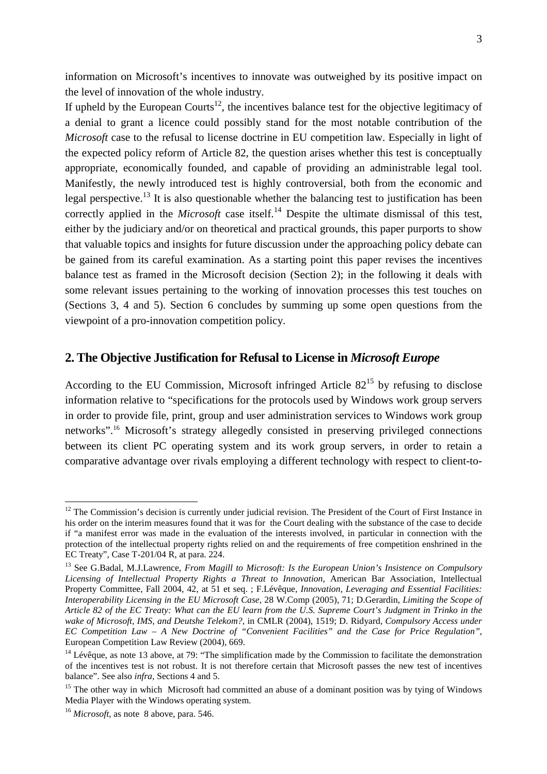information on Microsoft's incentives to innovate was outweighed by its positive impact on the level of innovation of the whole industry.

If upheld by the European Courts<sup>12</sup>, the incentives balance test for the objective legitimacy of a denial to grant a licence could possibly stand for the most notable contribution of the *Microsoft* case to the refusal to license doctrine in EU competition law. Especially in light of the expected policy reform of Article 82, the question arises whether this test is conceptually appropriate, economically founded, and capable of providing an administrable legal tool. Manifestly, the newly introduced test is highly controversial, both from the economic and legal perspective.<sup>13</sup> It is also questionable whether the balancing test to justification has been correctly applied in the *Microsoft* case itself.<sup>14</sup> Despite the ultimate dismissal of this test, either by the judiciary and/or on theoretical and practical grounds, this paper purports to show that valuable topics and insights for future discussion under the approaching policy debate can be gained from its careful examination. As a starting point this paper revises the incentives balance test as framed in the Microsoft decision (Section 2); in the following it deals with some relevant issues pertaining to the working of innovation processes this test touches on (Sections 3, 4 and 5). Section 6 concludes by summing up some open questions from the viewpoint of a pro-innovation competition policy.

# **2. The Objective Justification for Refusal to License in** *Microsoft Europe*

According to the EU Commission, Microsoft infringed Article  $82^{15}$  by refusing to disclose information relative to "specifications for the protocols used by Windows work group servers in order to provide file, print, group and user administration services to Windows work group networks".<sup>16</sup> Microsoft's strategy allegedly consisted in preserving privileged connections between its client PC operating system and its work group servers, in order to retain a comparative advantage over rivals employing a different technology with respect to client-to-

<sup>&</sup>lt;sup>12</sup> The Commission's decision is currently under judicial revision. The President of the Court of First Instance in his order on the interim measures found that it was for the Court dealing with the substance of the case to decide if "a manifest error was made in the evaluation of the interests involved, in particular in connection with the protection of the intellectual property rights relied on and the requirements of free competition enshrined in the EC Treaty", Case T-201/04 R, at para. 224.

<sup>&</sup>lt;sup>13</sup> See G.Badal, M.J.Lawrence, *From Magill to Microsoft: Is the European Union's Insistence on Compulsory Licensing of Intellectual Property Rights a Threat to Innovation*, American Bar Association, Intellectual Property Committee, Fall 2004, 42, at 51 et seq. ; F.Lévêque, *Innovation, Leveraging and Essential Facilities: Interoperability Licensing in the EU Microsoft Case*, 28 W.Comp (2005), 71; D.Gerardin, *Limiting the Scope of Article 82 of the EC Treaty: What can the EU learn from the U.S. Supreme Court's Judgment in Trinko in the wake of Microsoft, IMS, and Deutshe Telekom?*, in CMLR (2004), 1519; D. Ridyard, *Compulsory Access under EC Competition Law – A New Doctrine of "Convenient Facilities" and the Case for Price Regulation"*, European Competition Law Review (2004), 669.

 $14$  Lévêque, as note 13 above, at 79: "The simplification made by the Commission to facilitate the demonstration of the incentives test is not robust. It is not therefore certain that Microsoft passes the new test of incentives balance". See also *infra*, Sections 4 and 5.

<sup>&</sup>lt;sup>15</sup> The other way in which Microsoft had committed an abuse of a dominant position was by tying of Windows Media Player with the Windows operating system.

<sup>16</sup> *Microsoft*, as note 8 above, para. 546.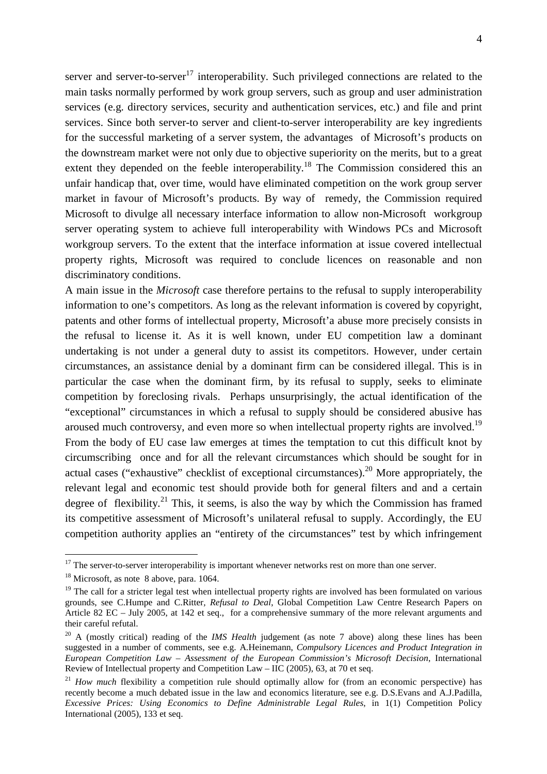server and server-to-server<sup>17</sup> interoperability. Such privileged connections are related to the main tasks normally performed by work group servers, such as group and user administration services (e.g. directory services, security and authentication services, etc.) and file and print services. Since both server-to server and client-to-server interoperability are key ingredients for the successful marketing of a server system, the advantages of Microsoft's products on the downstream market were not only due to objective superiority on the merits, but to a great extent they depended on the feeble interoperability.<sup>18</sup> The Commission considered this an unfair handicap that, over time, would have eliminated competition on the work group server market in favour of Microsoft's products. By way of remedy, the Commission required Microsoft to divulge all necessary interface information to allow non-Microsoft workgroup server operating system to achieve full interoperability with Windows PCs and Microsoft workgroup servers. To the extent that the interface information at issue covered intellectual property rights, Microsoft was required to conclude licences on reasonable and non discriminatory conditions.

A main issue in the *Microsoft* case therefore pertains to the refusal to supply interoperability information to one's competitors. As long as the relevant information is covered by copyright, patents and other forms of intellectual property, Microsoft'a abuse more precisely consists in the refusal to license it. As it is well known, under EU competition law a dominant undertaking is not under a general duty to assist its competitors. However, under certain circumstances, an assistance denial by a dominant firm can be considered illegal. This is in particular the case when the dominant firm, by its refusal to supply, seeks to eliminate competition by foreclosing rivals. Perhaps unsurprisingly, the actual identification of the "exceptional" circumstances in which a refusal to supply should be considered abusive has aroused much controversy, and even more so when intellectual property rights are involved.<sup>19</sup> From the body of EU case law emerges at times the temptation to cut this difficult knot by circumscribing once and for all the relevant circumstances which should be sought for in actual cases ("exhaustive" checklist of exceptional circumstances).<sup>20</sup> More appropriately, the relevant legal and economic test should provide both for general filters and and a certain degree of flexibility.<sup>21</sup> This, it seems, is also the way by which the Commission has framed its competitive assessment of Microsoft's unilateral refusal to supply. Accordingly, the EU competition authority applies an "entirety of the circumstances" test by which infringement

 $17$  The server-to-server interoperability is important whenever networks rest on more than one server.

 $18$  Microsoft, as note 8 above, para. 1064.

<sup>&</sup>lt;sup>19</sup> The call for a stricter legal test when intellectual property rights are involved has been formulated on various grounds, see C.Humpe and C.Ritter*, Refusal to Deal*, Global Competition Law Centre Research Papers on Article 82 EC – July 2005, at 142 et seq., for a comprehensive summary of the more relevant arguments and their careful refutal.

<sup>20</sup> A (mostly critical) reading of the *IMS Health* judgement (as note 7 above) along these lines has been suggested in a number of comments, see e.g. A.Heinemann, *Compulsory Licences and Product Integration in European Competition Law – Assessment of the European Commission's Microsoft Decision*, International Review of Intellectual property and Competition Law – IIC (2005), 63, at 70 et seq.

<sup>&</sup>lt;sup>21</sup> *How much* flexibility a competition rule should optimally allow for (from an economic perspective) has recently become a much debated issue in the law and economics literature, see e.g. D.S.Evans and A.J.Padilla, *Excessive Prices: Using Economics to Define Administrable Legal Rules*, in 1(1) Competition Policy International (2005), 133 et seq.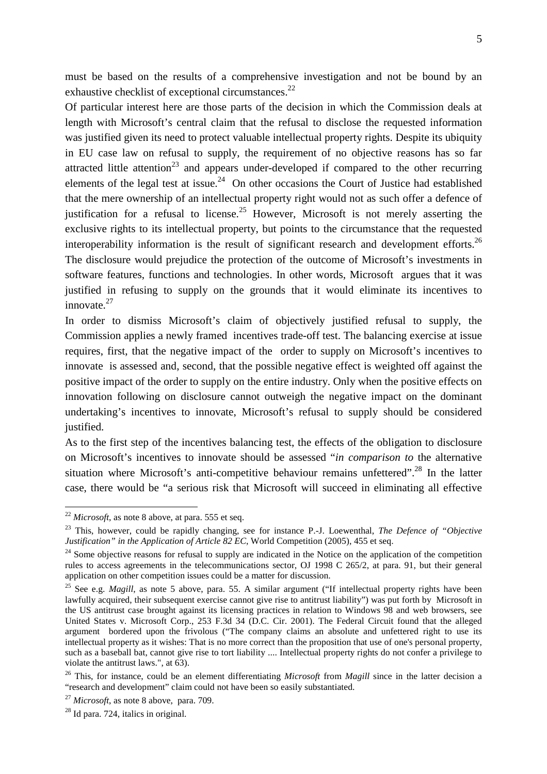must be based on the results of a comprehensive investigation and not be bound by an exhaustive checklist of exceptional circumstances. $^{22}$ 

Of particular interest here are those parts of the decision in which the Commission deals at length with Microsoft's central claim that the refusal to disclose the requested information was justified given its need to protect valuable intellectual property rights. Despite its ubiquity in EU case law on refusal to supply, the requirement of no objective reasons has so far attracted little attention<sup>23</sup> and appears under-developed if compared to the other recurring elements of the legal test at issue.<sup>24</sup> On other occasions the Court of Justice had established that the mere ownership of an intellectual property right would not as such offer a defence of justification for a refusal to license.<sup>25</sup> However, Microsoft is not merely asserting the exclusive rights to its intellectual property, but points to the circumstance that the requested interoperability information is the result of significant research and development efforts.<sup>26</sup> The disclosure would prejudice the protection of the outcome of Microsoft's investments in software features, functions and technologies. In other words, Microsoft argues that it was justified in refusing to supply on the grounds that it would eliminate its incentives to innovate. $27$ 

In order to dismiss Microsoft's claim of objectively justified refusal to supply, the Commission applies a newly framed incentives trade-off test. The balancing exercise at issue requires, first, that the negative impact of the order to supply on Microsoft's incentives to innovate is assessed and, second, that the possible negative effect is weighted off against the positive impact of the order to supply on the entire industry. Only when the positive effects on innovation following on disclosure cannot outweigh the negative impact on the dominant undertaking's incentives to innovate, Microsoft's refusal to supply should be considered justified.

As to the first step of the incentives balancing test, the effects of the obligation to disclosure on Microsoft's incentives to innovate should be assessed "*in comparison to* the alternative situation where Microsoft's anti-competitive behaviour remains unfettered".<sup>28</sup> In the latter case, there would be "a serious risk that Microsoft will succeed in eliminating all effective

 $^{22}$  *Microsoft*, as note 8 above, at para. 555 et seq.

<sup>23</sup> This, however, could be rapidly changing, see for instance P.-J. Loewenthal, *The Defence of "Objective Justification" in the Application of Article 82 EC*, World Competition (2005), 455 et seq.

 $24$  Some objective reasons for refusal to supply are indicated in the Notice on the application of the competition rules to access agreements in the telecommunications sector, OJ 1998 C 265/2, at para. 91, but their general application on other competition issues could be a matter for discussion.

<sup>&</sup>lt;sup>25</sup> See e.g. *Magill*, as note 5 above, para. 55. A similar argument ("If intellectual property rights have been lawfully acquired, their subsequent exercise cannot give rise to antitrust liability") was put forth by Microsoft in the US antitrust case brought against its licensing practices in relation to Windows 98 and web browsers, see United States v. Microsoft Corp., 253 F.3d 34 (D.C. Cir. 2001). The Federal Circuit found that the alleged argument bordered upon the frivolous ("The company claims an absolute and unfettered right to use its intellectual property as it wishes: That is no more correct than the proposition that use of one's personal property, such as a baseball bat, cannot give rise to tort liability .... Intellectual property rights do not confer a privilege to violate the antitrust laws.", at 63).

<sup>26</sup> This, for instance, could be an element differentiating *Microsoft* from *Magill* since in the latter decision a "research and development" claim could not have been so easily substantiated.

<sup>27</sup> *Microsoft*, as note 8 above, para. 709.

<sup>28</sup> Id para. 724, italics in original.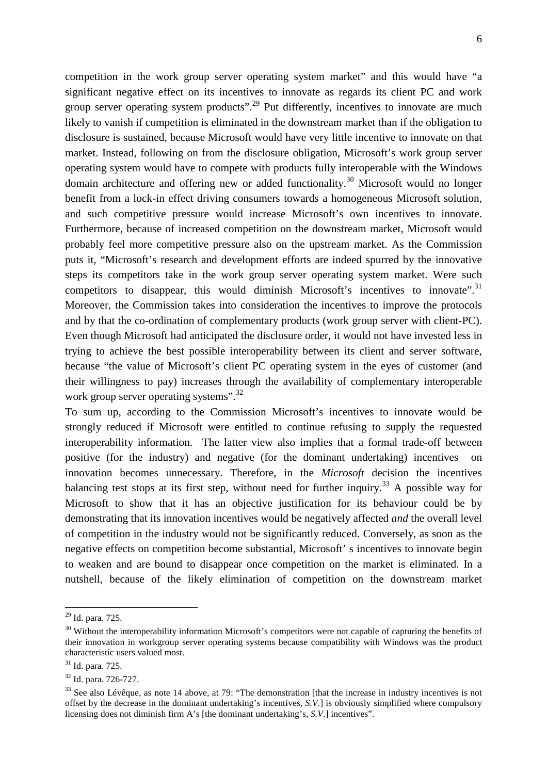competition in the work group server operating system market" and this would have "a significant negative effect on its incentives to innovate as regards its client PC and work group server operating system products".<sup>29</sup> Put differently, incentives to innovate are much likely to vanish if competition is eliminated in the downstream market than if the obligation to disclosure is sustained, because Microsoft would have very little incentive to innovate on that market. Instead, following on from the disclosure obligation, Microsoft's work group server operating system would have to compete with products fully interoperable with the Windows domain architecture and offering new or added functionality.<sup>30</sup> Microsoft would no longer benefit from a lock-in effect driving consumers towards a homogeneous Microsoft solution, and such competitive pressure would increase Microsoft's own incentives to innovate. Furthermore, because of increased competition on the downstream market, Microsoft would probably feel more competitive pressure also on the upstream market. As the Commission puts it, "Microsoft's research and development efforts are indeed spurred by the innovative steps its competitors take in the work group server operating system market. Were such competitors to disappear, this would diminish Microsoft's incentives to innovate". $31$ Moreover, the Commission takes into consideration the incentives to improve the protocols and by that the co-ordination of complementary products (work group server with client-PC). Even though Microsoft had anticipated the disclosure order, it would not have invested less in trying to achieve the best possible interoperability between its client and server software, because "the value of Microsoft's client PC operating system in the eyes of customer (and their willingness to pay) increases through the availability of complementary interoperable work group server operating systems".<sup>32</sup>

To sum up, according to the Commission Microsoft's incentives to innovate would be strongly reduced if Microsoft were entitled to continue refusing to supply the requested interoperability information. The latter view also implies that a formal trade-off between positive (for the industry) and negative (for the dominant undertaking) incentives on innovation becomes unnecessary. Therefore, in the *Microsoft* decision the incentives balancing test stops at its first step, without need for further inquiry.<sup>33</sup> A possible way for Microsoft to show that it has an objective justification for its behaviour could be by demonstrating that its innovation incentives would be negatively affected *and* the overall level of competition in the industry would not be significantly reduced. Conversely, as soon as the negative effects on competition become substantial, Microsoft' s incentives to innovate begin to weaken and are bound to disappear once competition on the market is eliminated. In a nutshell, because of the likely elimination of competition on the downstream market

<sup>29</sup> Id. para. 725.

<sup>&</sup>lt;sup>30</sup> Without the interoperability information Microsoft's competitors were not capable of capturing the benefits of their innovation in workgroup server operating systems because compatibility with Windows was the product characteristic users valued most.

 $31$  Id. para. 725.

<sup>32</sup> Id. para. 726-727.

<sup>&</sup>lt;sup>33</sup> See also Lévêque, as note 14 above, at 79: "The demonstration [that the increase in industry incentives is not offset by the decrease in the dominant undertaking's incentives, *S.V*.] is obviously simplified where compulsory licensing does not diminish firm A's [the dominant undertaking's, *S.V.*] incentives".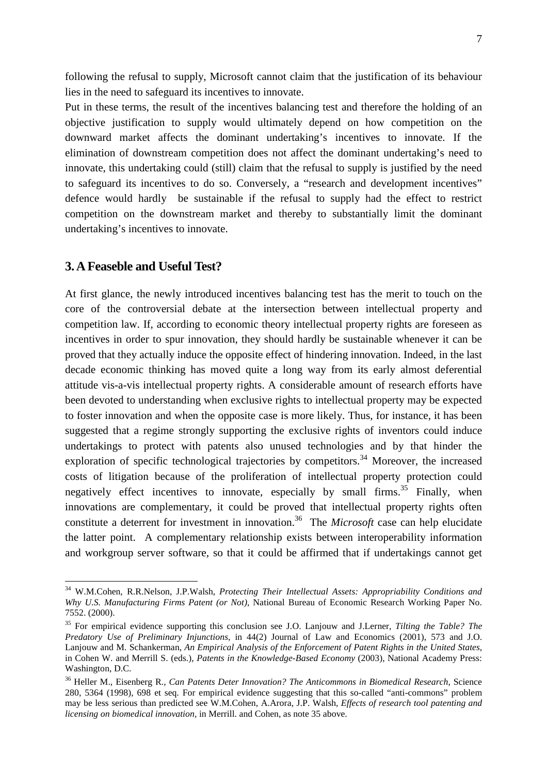following the refusal to supply, Microsoft cannot claim that the justification of its behaviour lies in the need to safeguard its incentives to innovate.

Put in these terms, the result of the incentives balancing test and therefore the holding of an objective justification to supply would ultimately depend on how competition on the downward market affects the dominant undertaking's incentives to innovate. If the elimination of downstream competition does not affect the dominant undertaking's need to innovate, this undertaking could (still) claim that the refusal to supply is justified by the need to safeguard its incentives to do so. Conversely, a "research and development incentives" defence would hardly be sustainable if the refusal to supply had the effect to restrict competition on the downstream market and thereby to substantially limit the dominant undertaking's incentives to innovate.

# **3. A Feaseble and Useful Test?**

 $\overline{a}$ 

At first glance, the newly introduced incentives balancing test has the merit to touch on the core of the controversial debate at the intersection between intellectual property and competition law. If, according to economic theory intellectual property rights are foreseen as incentives in order to spur innovation, they should hardly be sustainable whenever it can be proved that they actually induce the opposite effect of hindering innovation. Indeed, in the last decade economic thinking has moved quite a long way from its early almost deferential attitude vis-a-vis intellectual property rights. A considerable amount of research efforts have been devoted to understanding when exclusive rights to intellectual property may be expected to foster innovation and when the opposite case is more likely. Thus, for instance, it has been suggested that a regime strongly supporting the exclusive rights of inventors could induce undertakings to protect with patents also unused technologies and by that hinder the exploration of specific technological trajectories by competitors.<sup>34</sup> Moreover, the increased costs of litigation because of the proliferation of intellectual property protection could negatively effect incentives to innovate, especially by small firms.<sup>35</sup> Finally, when innovations are complementary, it could be proved that intellectual property rights often constitute a deterrent for investment in innovation.<sup>36</sup> The *Microsoft* case can help elucidate the latter point. A complementary relationship exists between interoperability information and workgroup server software, so that it could be affirmed that if undertakings cannot get

<sup>34</sup> W.M.Cohen, R.R.Nelson, J.P.Walsh, *Protecting Their Intellectual Assets: Appropriability Conditions and Why U.S. Manufacturing Firms Patent (or Not)*, National Bureau of Economic Research Working Paper No. 7552. (2000).

<sup>35</sup> For empirical evidence supporting this conclusion see J.O. Lanjouw and J.Lerner, *Tilting the Table? The Predatory Use of Preliminary Injunctions*, in 44(2) Journal of Law and Economics (2001), 573 and J.O. Lanjouw and M. Schankerman, *An Empirical Analysis of the Enforcement of Patent Rights in the United States*, in Cohen W. and Merrill S. (eds.), *Patents in the Knowledge-Based Economy* (2003), National Academy Press: Washington, D.C.

<sup>36</sup> Heller M., Eisenberg R., *Can Patents Deter Innovation? The Anticommons in Biomedical Research*, Science 280, 5364 (1998), 698 et seq. For empirical evidence suggesting that this so-called "anti-commons" problem may be less serious than predicted see W.M.Cohen, A.Arora, J.P. Walsh, *Effects of research tool patenting and licensing on biomedical innovation*, in Merrill. and Cohen, as note 35 above.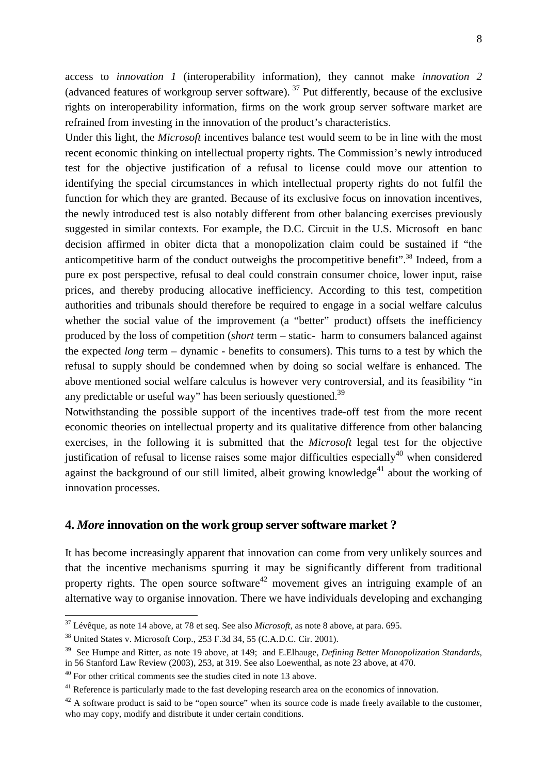access to *innovation 1* (interoperability information), they cannot make *innovation 2* (advanced features of workgroup server software).<sup>37</sup> Put differently, because of the exclusive rights on interoperability information, firms on the work group server software market are

refrained from investing in the innovation of the product's characteristics. Under this light, the *Microsoft* incentives balance test would seem to be in line with the most recent economic thinking on intellectual property rights. The Commission's newly introduced test for the objective justification of a refusal to license could move our attention to identifying the special circumstances in which intellectual property rights do not fulfil the function for which they are granted. Because of its exclusive focus on innovation incentives, the newly introduced test is also notably different from other balancing exercises previously suggested in similar contexts. For example, the D.C. Circuit in the U.S. Microsoft en banc decision affirmed in obiter dicta that a monopolization claim could be sustained if "the anticompetitive harm of the conduct outweighs the procompetitive benefit".<sup>38</sup> Indeed, from a pure ex post perspective, refusal to deal could constrain consumer choice, lower input, raise prices, and thereby producing allocative inefficiency. According to this test, competition authorities and tribunals should therefore be required to engage in a social welfare calculus whether the social value of the improvement (a "better" product) offsets the inefficiency produced by the loss of competition (*short* term – static- harm to consumers balanced against the expected *long* term – dynamic - benefits to consumers). This turns to a test by which the refusal to supply should be condemned when by doing so social welfare is enhanced. The above mentioned social welfare calculus is however very controversial, and its feasibility "in any predictable or useful way" has been seriously questioned.<sup>39</sup>

Notwithstanding the possible support of the incentives trade-off test from the more recent economic theories on intellectual property and its qualitative difference from other balancing exercises, in the following it is submitted that the *Microsoft* legal test for the objective justification of refusal to license raises some major difficulties especially $40$  when considered against the background of our still limited, albeit growing knowledge<sup>41</sup> about the working of innovation processes.

# **4.** *More* **innovation on the work group server software market ?**

It has become increasingly apparent that innovation can come from very unlikely sources and that the incentive mechanisms spurring it may be significantly different from traditional property rights. The open source software<sup>42</sup> movement gives an intriguing example of an alternative way to organise innovation. There we have individuals developing and exchanging

<sup>37</sup> Lévêque, as note 14 above, at 78 et seq. See also *Microsoft*, as note 8 above, at para. 695.

<sup>&</sup>lt;sup>38</sup> United States v. Microsoft Corp., 253 F.3d 34, 55 (C.A.D.C. Cir. 2001).

<sup>39</sup> See Humpe and Ritter*,* as note 19 above, at 149; and E.Elhauge, *Defining Better Monopolization Standards*, in 56 Stanford Law Review (2003), 253, at 319. See also Loewenthal, as note 23 above, at 470.

 $40$  For other critical comments see the studies cited in note 13 above.

<sup>&</sup>lt;sup>41</sup> Reference is particularly made to the fast developing research area on the economics of innovation.

 $42$  A software product is said to be "open source" when its source code is made freely available to the customer, who may copy, modify and distribute it under certain conditions.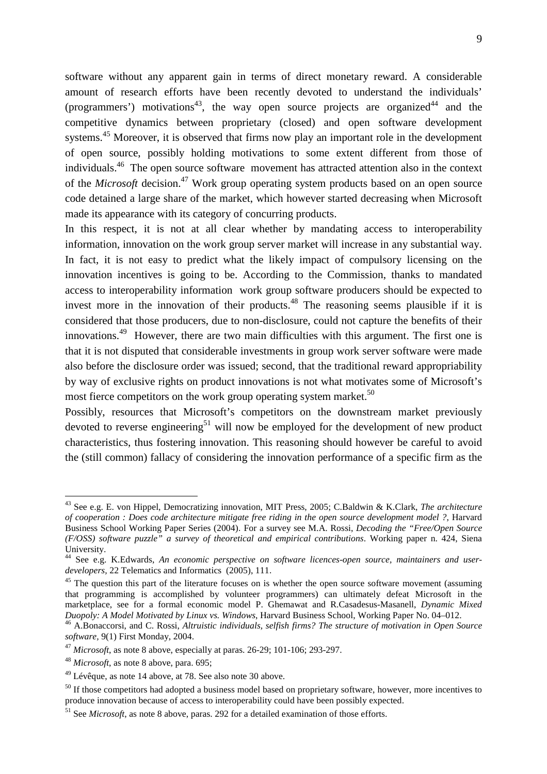software without any apparent gain in terms of direct monetary reward. A considerable amount of research efforts have been recently devoted to understand the individuals' (programmers') motivations<sup>43</sup>, the way open source projects are organized<sup>44</sup> and the competitive dynamics between proprietary (closed) and open software development systems.<sup>45</sup> Moreover, it is observed that firms now play an important role in the development of open source, possibly holding motivations to some extent different from those of individuals.<sup>46</sup> The open source software movement has attracted attention also in the context of the *Microsoft* decision.<sup>47</sup> Work group operating system products based on an open source code detained a large share of the market, which however started decreasing when Microsoft made its appearance with its category of concurring products.

In this respect, it is not at all clear whether by mandating access to interoperability information, innovation on the work group server market will increase in any substantial way. In fact, it is not easy to predict what the likely impact of compulsory licensing on the innovation incentives is going to be. According to the Commission, thanks to mandated access to interoperability information work group software producers should be expected to invest more in the innovation of their products.<sup>48</sup> The reasoning seems plausible if it is considered that those producers, due to non-disclosure, could not capture the benefits of their innovations.<sup>49</sup> However, there are two main difficulties with this argument. The first one is that it is not disputed that considerable investments in group work server software were made also before the disclosure order was issued; second, that the traditional reward appropriability by way of exclusive rights on product innovations is not what motivates some of Microsoft's most fierce competitors on the work group operating system market.<sup>50</sup>

Possibly, resources that Microsoft's competitors on the downstream market previously devoted to reverse engineering<sup>51</sup> will now be employed for the development of new product characteristics, thus fostering innovation. This reasoning should however be careful to avoid the (still common) fallacy of considering the innovation performance of a specific firm as the

<sup>43</sup> See e.g. E. von Hippel, Democratizing innovation, MIT Press, 2005; C.Baldwin & K.Clark, *The architecture of cooperation : Does code architecture mitigate free riding in the open source development model ?*, Harvard Business School Working Paper Series (2004). For a survey see M.A. Rossi, *Decoding the "Free/Open Source (F/OSS) software puzzle" a survey of theoretical and empirical contributions*. Working paper n. 424, Siena University.

<sup>44</sup> See e.g. K.Edwards, *An economic perspective on software licences-open source, maintainers and userdevelopers,* 22 Telematics and Informatics (2005), 111.

<sup>&</sup>lt;sup>45</sup> The question this part of the literature focuses on is whether the open source software movement (assuming that programming is accomplished by volunteer programmers) can ultimately defeat Microsoft in the marketplace, see for a formal economic model P. Ghemawat and R.Casadesus-Masanell, *Dynamic Mixed Duopoly: A Model Motivated by Linux vs. Windows*, Harvard Business School, Working Paper No. 04–012.

<sup>46</sup> A.Bonaccorsi, and C. Rossi, *Altruistic individuals, selfish firms? The structure of motivation in Open Source software,* 9(1) First Monday, 2004.

<sup>47</sup> *Microsoft*, as note 8 above, especially at paras. 26-29; 101-106; 293-297.

<sup>48</sup> *Microsoft*, as note 8 above, para. 695;

 $49$  Lévêque, as note 14 above, at 78. See also note 30 above.

<sup>&</sup>lt;sup>50</sup> If those competitors had adopted a business model based on proprietary software, however, more incentives to produce innovation because of access to interoperability could have been possibly expected.

<sup>51</sup> See *Microsoft*, as note 8 above, paras. 292 for a detailed examination of those efforts.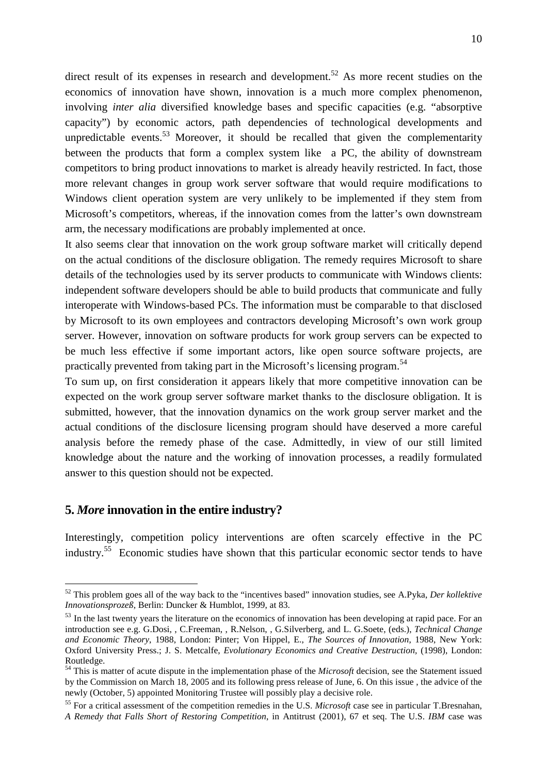direct result of its expenses in research and development.<sup>52</sup> As more recent studies on the economics of innovation have shown, innovation is a much more complex phenomenon, involving *inter alia* diversified knowledge bases and specific capacities (e.g. "absorptive capacity") by economic actors, path dependencies of technological developments and unpredictable events.<sup>53</sup> Moreover, it should be recalled that given the complementarity between the products that form a complex system like a PC, the ability of downstream competitors to bring product innovations to market is already heavily restricted. In fact, those more relevant changes in group work server software that would require modifications to Windows client operation system are very unlikely to be implemented if they stem from Microsoft's competitors, whereas, if the innovation comes from the latter's own downstream arm, the necessary modifications are probably implemented at once.

It also seems clear that innovation on the work group software market will critically depend on the actual conditions of the disclosure obligation. The remedy requires Microsoft to share details of the technologies used by its server products to communicate with Windows clients: independent software developers should be able to build products that communicate and fully interoperate with Windows-based PCs. The information must be comparable to that disclosed by Microsoft to its own employees and contractors developing Microsoft's own work group server. However, innovation on software products for work group servers can be expected to be much less effective if some important actors, like open source software projects, are practically prevented from taking part in the Microsoft's licensing program.<sup>54</sup>

To sum up, on first consideration it appears likely that more competitive innovation can be expected on the work group server software market thanks to the disclosure obligation. It is submitted, however, that the innovation dynamics on the work group server market and the actual conditions of the disclosure licensing program should have deserved a more careful analysis before the remedy phase of the case. Admittedly, in view of our still limited knowledge about the nature and the working of innovation processes, a readily formulated answer to this question should not be expected.

### **5.** *More* **innovation in the entire industry?**

 $\overline{a}$ 

Interestingly, competition policy interventions are often scarcely effective in the PC industry.<sup>55</sup> Economic studies have shown that this particular economic sector tends to have

<sup>52</sup> This problem goes all of the way back to the "incentives based" innovation studies, see A.Pyka, *Der kollektive Innovationsprozeß*, Berlin: Duncker & Humblot, 1999, at 83.

<sup>&</sup>lt;sup>53</sup> In the last twenty years the literature on the economics of innovation has been developing at rapid pace. For an introduction see e.g. G.Dosi, , C.Freeman, , R.Nelson, , G.Silverberg, and L. G.Soete, (eds.), *Technical Change and Economic Theory*, 1988, London: Pinter; Von Hippel, E., *The Sources of Innovation*, 1988, New York: Oxford University Press.; J. S. Metcalfe, *Evolutionary Economics and Creative Destruction,* (1998), London: Routledge.

<sup>54</sup> This is matter of acute dispute in the implementation phase of the *Microsoft* decision, see the Statement issued by the Commission on March 18, 2005 and its following press release of June, 6. On this issue , the advice of the newly (October, 5) appointed Monitoring Trustee will possibly play a decisive role.

<sup>55</sup> For a critical assessment of the competition remedies in the U.S. *Microsoft* case see in particular T.Bresnahan, *A Remedy that Falls Short of Restoring Competition*, in Antitrust (2001), 67 et seq. The U.S. *IBM* case was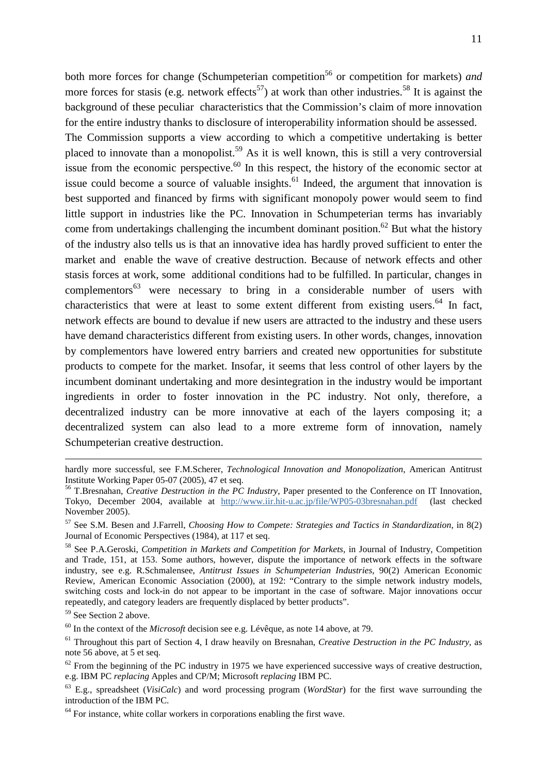both more forces for change (Schumpeterian competition<sup>56</sup> or competition for markets) *and* more forces for stasis (e.g. network effects<sup>57</sup>) at work than other industries.<sup>58</sup> It is against the background of these peculiar characteristics that the Commission's claim of more innovation for the entire industry thanks to disclosure of interoperability information should be assessed.

The Commission supports a view according to which a competitive undertaking is better placed to innovate than a monopolist.<sup>59</sup> As it is well known, this is still a very controversial issue from the economic perspective.<sup>60</sup> In this respect, the history of the economic sector at issue could become a source of valuable insights.<sup>61</sup> Indeed, the argument that innovation is best supported and financed by firms with significant monopoly power would seem to find little support in industries like the PC. Innovation in Schumpeterian terms has invariably come from undertakings challenging the incumbent dominant position.<sup>62</sup> But what the history of the industry also tells us is that an innovative idea has hardly proved sufficient to enter the market and enable the wave of creative destruction. Because of network effects and other stasis forces at work, some additional conditions had to be fulfilled. In particular, changes in complementors<sup>63</sup> were necessary to bring in a considerable number of users with characteristics that were at least to some extent different from existing users. $^{64}$  In fact, network effects are bound to devalue if new users are attracted to the industry and these users have demand characteristics different from existing users. In other words, changes, innovation by complementors have lowered entry barriers and created new opportunities for substitute products to compete for the market. Insofar, it seems that less control of other layers by the incumbent dominant undertaking and more desintegration in the industry would be important ingredients in order to foster innovation in the PC industry. Not only, therefore, a decentralized industry can be more innovative at each of the layers composing it; a decentralized system can also lead to a more extreme form of innovation, namely Schumpeterian creative destruction.

<sup>59</sup> See Section 2 above.

<u>.</u>

<sup>60</sup> In the context of the *Microsoft* decision see e.g. Lévêque, as note 14 above, at 79.

hardly more successful, see F.M.Scherer, *Technological Innovation and Monopolization*, American Antitrust Institute Working Paper 05-07 (2005), 47 et seq.

<sup>56</sup> T.Bresnahan, *Creative Destruction in the PC Industry*, Paper presented to the Conference on IT Innovation, Tokyo, December 2004, available at http://www.iir.hit-u.ac.jp/file/WP05-03bresnahan.pdf (last checked November 2005).

<sup>57</sup> See S.M. Besen and J.Farrell, *Choosing How to Compete: Strategies and Tactics in Standardization*, in 8(2) Journal of Economic Perspectives (1984), at 117 et seq.

<sup>58</sup> See P.A.Geroski, *Competition in Markets and Competition for Markets*, in Journal of Industry, Competition and Trade, 151, at 153. Some authors, however, dispute the importance of network effects in the software industry, see e.g. R.Schmalensee, *Antitrust Issues in Schumpeterian Industries*, 90(2) American Economic Review, American Economic Association (2000), at 192: "Contrary to the simple network industry models, switching costs and lock-in do not appear to be important in the case of software. Major innovations occur repeatedly, and category leaders are frequently displaced by better products".

<sup>61</sup> Throughout this part of Section 4, I draw heavily on Bresnahan, *Creative Destruction in the PC Industry,* as note 56 above, at 5 et seq.

 $62$  From the beginning of the PC industry in 1975 we have experienced successive ways of creative destruction. e.g. IBM PC *replacing* Apples and CP/M; Microsoft *replacing* IBM PC.

<sup>63</sup> E.g., spreadsheet (*VisiCalc*) and word processing program (*WordStar*) for the first wave surrounding the introduction of the IBM PC.

 $64$  For instance, white collar workers in corporations enabling the first wave.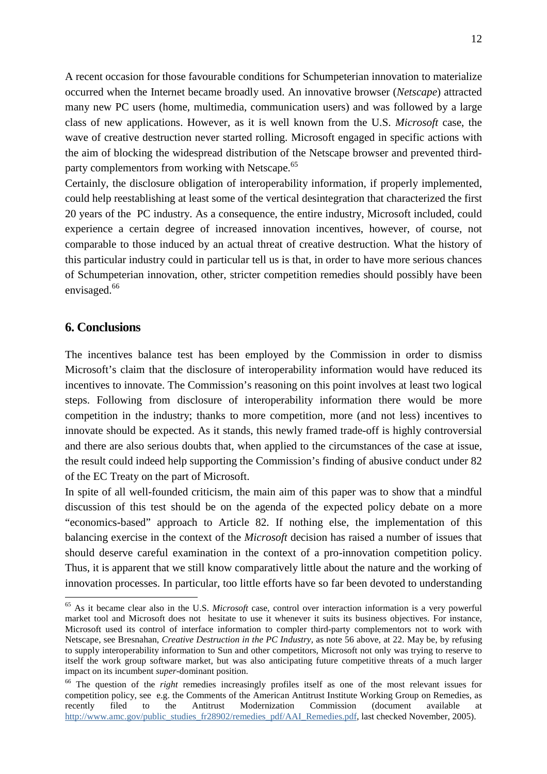A recent occasion for those favourable conditions for Schumpeterian innovation to materialize occurred when the Internet became broadly used. An innovative browser (*Netscape*) attracted many new PC users (home, multimedia, communication users) and was followed by a large class of new applications. However, as it is well known from the U.S. *Microsoft* case, the wave of creative destruction never started rolling. Microsoft engaged in specific actions with the aim of blocking the widespread distribution of the Netscape browser and prevented thirdparty complementors from working with Netscape.<sup>65</sup>

Certainly, the disclosure obligation of interoperability information, if properly implemented, could help reestablishing at least some of the vertical desintegration that characterized the first 20 years of the PC industry. As a consequence, the entire industry, Microsoft included, could experience a certain degree of increased innovation incentives, however, of course, not comparable to those induced by an actual threat of creative destruction. What the history of this particular industry could in particular tell us is that, in order to have more serious chances of Schumpeterian innovation, other, stricter competition remedies should possibly have been envisaged.<sup>66</sup>

#### **6. Conclusions**

 $\overline{a}$ 

The incentives balance test has been employed by the Commission in order to dismiss Microsoft's claim that the disclosure of interoperability information would have reduced its incentives to innovate. The Commission's reasoning on this point involves at least two logical steps. Following from disclosure of interoperability information there would be more competition in the industry; thanks to more competition, more (and not less) incentives to innovate should be expected. As it stands, this newly framed trade-off is highly controversial and there are also serious doubts that, when applied to the circumstances of the case at issue, the result could indeed help supporting the Commission's finding of abusive conduct under 82 of the EC Treaty on the part of Microsoft.

In spite of all well-founded criticism, the main aim of this paper was to show that a mindful discussion of this test should be on the agenda of the expected policy debate on a more "economics-based" approach to Article 82. If nothing else, the implementation of this balancing exercise in the context of the *Microsoft* decision has raised a number of issues that should deserve careful examination in the context of a pro-innovation competition policy. Thus, it is apparent that we still know comparatively little about the nature and the working of innovation processes. In particular, too little efforts have so far been devoted to understanding

<sup>65</sup> As it became clear also in the U.S. *Microsoft* case, control over interaction information is a very powerful market tool and Microsoft does not hesitate to use it whenever it suits its business objectives. For instance, Microsoft used its control of interface information to compler third-party complementors not to work with Netscape, see Bresnahan, *Creative Destruction in the PC Industry,* as note 56 above, at 22. May be, by refusing to supply interoperability information to Sun and other competitors, Microsoft not only was trying to reserve to itself the work group software market, but was also anticipating future competitive threats of a much larger impact on its incumbent *super*-dominant position.

<sup>&</sup>lt;sup>66</sup> The question of the *right* remedies increasingly profiles itself as one of the most relevant issues for competition policy, see e.g. the Comments of the American Antitrust Institute Working Group on Remedies, as recently filed to the Antitrust Modernization Commission (document available at http://www.amc.gov/public\_studies\_fr28902/remedies\_pdf/AAI\_Remedies.pdf, last checked November, 2005).